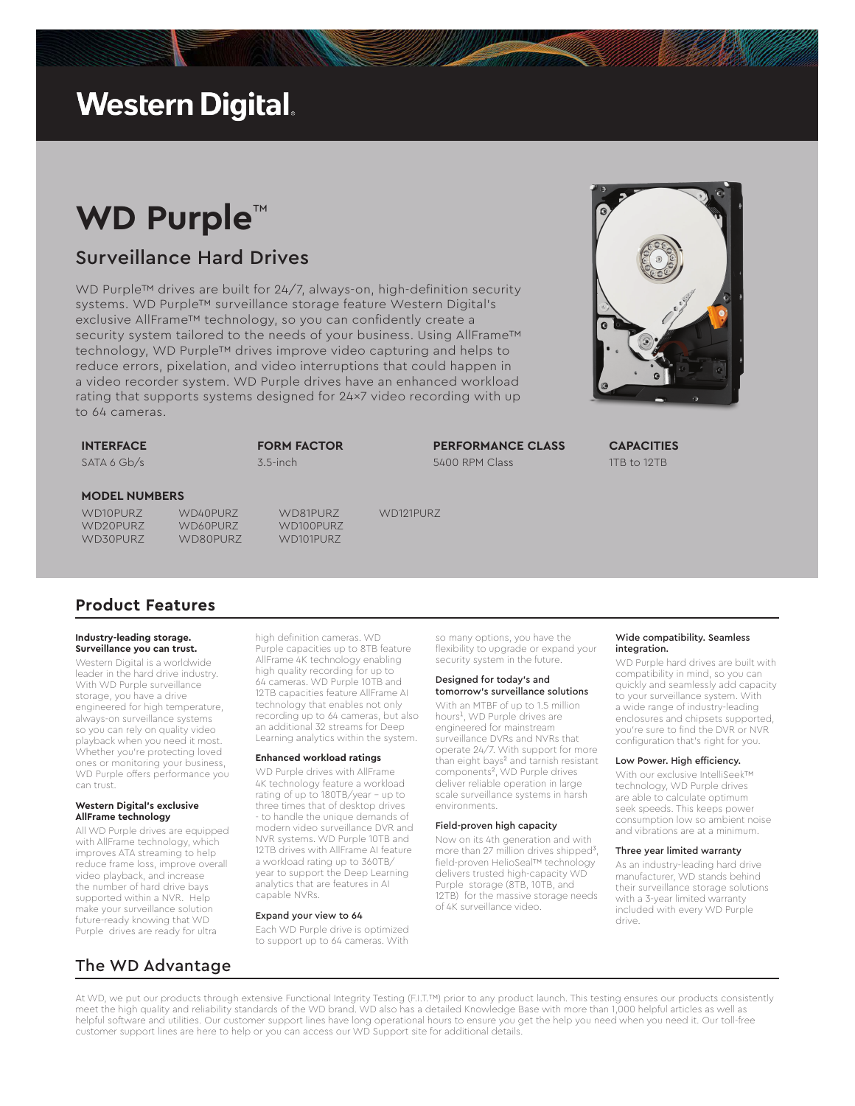### **Western Digital.**

# **WD Purple**™

### Surveillance Hard Drives

WD Purple™ drives are built for 24/7, always-on, high-definition security systems. WD Purple™ surveillance storage feature Western Digital's exclusive AllFrame™ technology, so you can confidently create a security system tailored to the needs of your business. Using AllFrame™ technology, WD Purple™ drives improve video capturing and helps to reduce errors, pixelation, and video interruptions that could happen in a video recorder system. WD Purple drives have an enhanced workload rating that supports systems designed for 24x7 video recording with up to 64 cameras.



**PERFORMANCE CLASS** 5400 RPM Class



**CAPACITIES** 1TB to 12TB

### **MODEL NUMBERS**

WD30PURZ

**INTERFACE** SATA 6 Gb/s

WD10PURZ WD40PURZ WD81PURZ WD121PURZ WD20PURZ WD60PURZ WD100PURZ<br>WD30PURZ WD80PURZ WD101PURZ

### **Product Features**

#### **Industry-leading storage. Surveillance you can trust.**

Western Digital is a worldwide leader in the hard drive industry. With WD Purple surveillance storage, you have a drive engineered for high temperature, always-on surveillance systems so you can rely on quality video playback when you need it most. Whether you're protecting loved ones or monitoring your business, WD Purple offers performance you can trust.

#### **Western Digital's exclusive AllFrame technology**

All WD Purple drives are equipped with AllFrame technology, which improves ATA streaming to help reduce frame loss, improve overall video playback, and increase the number of hard drive bays supported within a NVR. Help make your surveillance solution future-ready knowing that WD Purple drives are ready for ultra

high definition cameras. WD Purple capacities up to 8TB feature AllFrame 4K technology enabling high quality recording for up to 64 cameras. WD Purple 10TB and 12TB capacities feature AllFrame AI technology that enables not only recording up to 64 cameras, but also an additional 32 streams for Deep Learning analytics within the system.

#### **Enhanced workload ratings**

WD Purple drives with AllFrame 4K technology feature a workload rating of up to 180TB/year - up to three times that of desktop drives - to handle the unique demands of modern video surveillance DVR and NVR systems. WD Purple 10TB and 12TB drives with AllFrame AI feature a workload rating up to 360TB/ year to support the Deep Learning analytics that are features in AI capable NVRs.

#### Expand your view to 64

Each WD Purple drive is optimized to support up to 64 cameras. With

so many options, you have the flexibility to upgrade or expand your security system in the future.

#### Designed for today's and tomorrow's surveillance solutions

With an MTBF of up to 1.5 million hours<sup>1</sup>, WD Purple drives are engineered for mainstream surveillance DVRs and NVRs that operate 24/7. With support for more than eight bays² and tarnish resistant components², WD Purple drives deliver reliable operation in large scale surveillance systems in harsh environments.

#### Field-proven high capacity

Now on its 4th generation and with more than 27 million drives shipped<sup>3</sup>, field-proven HelioSeal™ technology delivers trusted high-capacity WD Purple storage (8TB, 10TB, and 12TB) for the massive storage needs of 4K surveillance video.

#### Wide compatibility. Seamless integration.

WD Purple hard drives are built with compatibility in mind, so you can quickly and seamlessly add capacity to your surveillance system. With a wide range of industry-leading enclosures and chipsets supported, you're sure to find the DVR or NVR configuration that's right for you.

#### Low Power. High efficiency.

With our exclusive IntelliSeek™ technology, WD Purple drives are able to calculate optimum seek speeds. This keeps power consumption low so ambient noise and vibrations are at a minimum.

#### Three year limited warranty

As an industry-leading hard drive manufacturer, WD stands behind their surveillance storage solutions with a 3-year limited warranty included with every WD Purple drive.

### The WD Advantage

At WD, we put our products through extensive Functional Integrity Testing (F.I.T.™) prior to any product launch. This testing ensures our products consistently meet the high quality and reliability standards of the WD brand. WD also has a detailed Knowledge Base with more than 1,000 helpful articles as well as helpful software and utilities. Our customer support lines have long operational hours to ensure you get the help you need when you need it. Our toll-free customer support lines are here to help or you can access our WD Support site for additional details.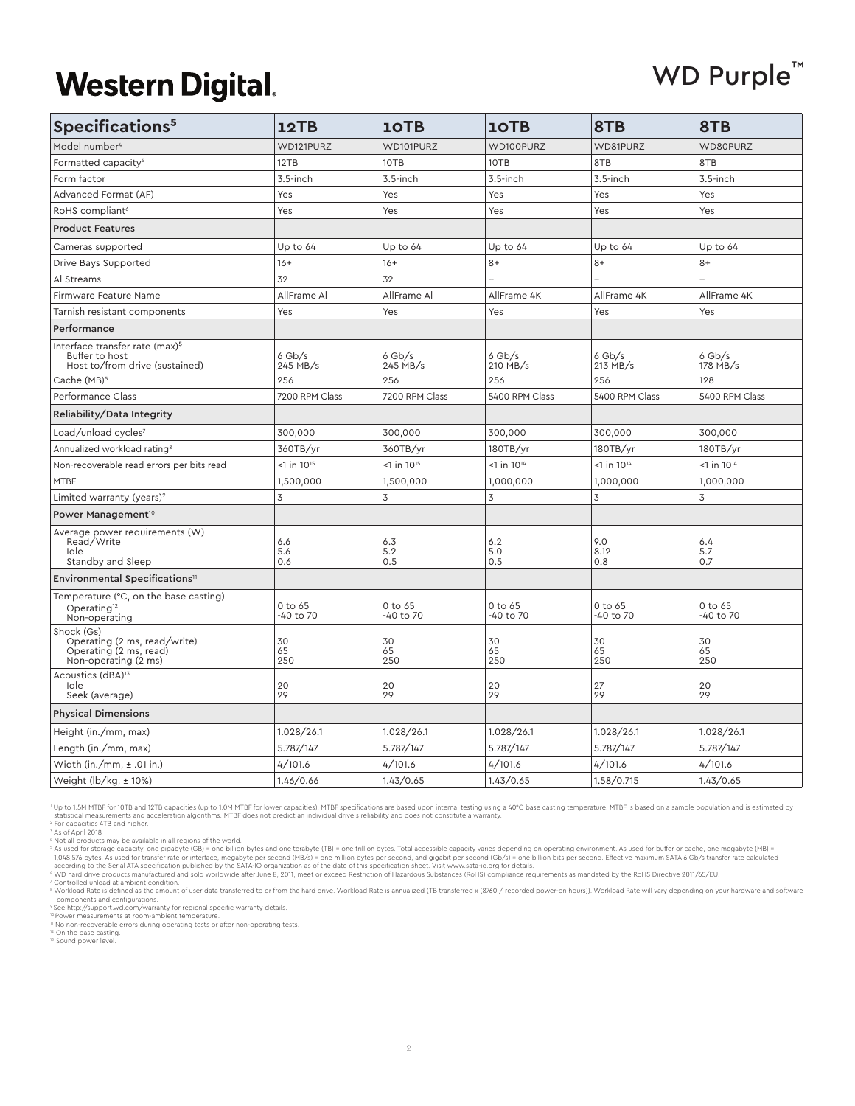# Western Digital.

# WD Purple<sup>™</sup>

| Specifications <sup>5</sup>                                                                    | 12TB                      | <b>10TB</b>               | <b>10TB</b>               | 8TB                       | 8TB                       |
|------------------------------------------------------------------------------------------------|---------------------------|---------------------------|---------------------------|---------------------------|---------------------------|
| Model number <sup>4</sup>                                                                      | WD121PURZ                 | WD101PURZ                 | WD100PURZ                 | WD81PURZ                  | WD80PURZ                  |
| Formatted capacity <sup>5</sup>                                                                | 12TB                      | 10TB                      | 10TB                      | 8TB                       | 8TB                       |
| Form factor                                                                                    | 3.5-inch                  | 3.5-inch                  | 3.5-inch                  | 3.5-inch                  | 3.5-inch                  |
| Advanced Format (AF)                                                                           | Yes                       | Yes                       | Yes                       | Yes                       | Yes                       |
| RoHS compliant <sup>6</sup>                                                                    | Yes                       | Yes                       | Yes                       | Yes                       | Yes                       |
| <b>Product Features</b>                                                                        |                           |                           |                           |                           |                           |
| Cameras supported                                                                              | Up to 64                  | Up to 64                  | Up to 64                  | Up to 64                  | Up to 64                  |
| Drive Bays Supported                                                                           | $16+$                     | $16+$                     | $8+$                      | $8+$                      | $8+$                      |
| Al Streams                                                                                     | 32                        | 32                        |                           |                           |                           |
| Firmware Feature Name                                                                          | AllFrame Al               | AllFrame Al               | AllFrame 4K               | AllFrame 4K               | AllFrame 4K               |
| Tarnish resistant components                                                                   | Yes                       | Yes                       | Yes                       | Yes                       | Yes                       |
| Performance                                                                                    |                           |                           |                           |                           |                           |
| Interface transfer rate (max) <sup>5</sup><br>Buffer to host<br>Host to/from drive (sustained) | $6$ Gb/s<br>245 MB/s      | $6$ Gb/s<br>245 MB/s      | $6$ Gb/s<br>210 MB/s      | $6$ Gb/s<br>$213$ MB/s    | $6$ Gb/s<br>178 MB/s      |
| Cache (MB) <sup>5</sup>                                                                        | 256                       | 256                       | 256                       | 256                       | 128                       |
| Performance Class                                                                              | 7200 RPM Class            | 7200 RPM Class            | 5400 RPM Class            | 5400 RPM Class            | 5400 RPM Class            |
| Reliability/Data Integrity                                                                     |                           |                           |                           |                           |                           |
| Load/unload cycles <sup>7</sup>                                                                | 300,000                   | 300,000                   | 300,000                   | 300,000                   | 300,000                   |
| Annualized workload rating <sup>8</sup>                                                        | 360TB/yr                  | 360TB/yr                  | 180TB/yr                  | 180TB/yr                  | 180TB/yr                  |
| Non-recoverable read errors per bits read                                                      | $<$ 1 in 10 <sup>15</sup> | $<$ 1 in 10 <sup>15</sup> | $<$ 1 in 10 <sup>14</sup> | $<$ 1 in 10 <sup>14</sup> | $<$ 1 in 10 <sup>14</sup> |
| <b>MTBF</b>                                                                                    | 1,500,000                 | 1,500,000                 | 1,000,000                 | 1,000,000                 | 1,000,000                 |
| Limited warranty (years) <sup>9</sup>                                                          | 3                         | 3                         | 3                         | 3                         | 3                         |
| Power Management <sup>10</sup>                                                                 |                           |                           |                           |                           |                           |
| Average power requirements (W)<br>Read/Write<br>Idle<br>Standby and Sleep                      | 6.6<br>5.6<br>0.6         | $6.3$<br>$5.2$<br>0.5     | 6.2<br>5.0<br>0.5         | 9.0<br>8.12<br>0.8        | 6.4<br>5.7<br>0.7         |
| Environmental Specifications <sup>11</sup>                                                     |                           |                           |                           |                           |                           |
| Temperature (°C, on the base casting)<br>Operating <sup>12</sup><br>Non-operating              | 0 to 65<br>-40 to 70      | 0 to 65<br>-40 to 70      | 0 to 65<br>-40 to 70      | 0 to 65<br>-40 to 70      | 0 to 65<br>-40 to 70      |
| Shock (Gs)<br>Operating (2 ms, read/write)<br>Operating (2 ms, read)<br>Non-operating (2 ms)   | 30<br>65<br>250           | 30<br>65<br>250           | 30<br>65<br>250           | 30<br>65<br>250           | 30<br>65<br>250           |
| Acoustics (dBA) <sup>13</sup><br>Idle<br>Seek (average)                                        | 20<br>29                  | 20<br>29                  | 20<br>29                  | 27<br>29                  | 20<br>29                  |
| <b>Physical Dimensions</b>                                                                     |                           |                           |                           |                           |                           |
| Height (in./mm, max)                                                                           | 1.028/26.1                | 1.028/26.1                | 1.028/26.1                | 1.028/26.1                | 1.028/26.1                |
| Length (in./mm, max)                                                                           | 5.787/147                 | 5.787/147                 | 5.787/147                 | 5.787/147                 | 5.787/147                 |
| Width (in./mm, $\pm$ .01 in.)                                                                  | 4/101.6                   | 4/101.6                   | 4/101.6                   | 4/101.6                   | 4/101.6                   |
| Weight ( $\frac{1}{2}$ /kg, $\pm$ 10%)                                                         | 1.46/0.66                 | 1.43/0.65                 | 1.43/0.65                 | 1.58/0.715                | 1.43/0.65                 |

' Up to 1.5M MTBF for 10TB and 12TB capacities (up to 1.0M MTBF for lower capacities). MTBF specifications are based upon internal testing using a 40°C base casting temperature. MTBF is based on a sample population and is

<sup>s</sup> As of April 2018<br>\* Not all products may be available in all regions of the world.<br>\* Not all products may be available in all regions of the world.<br>\* As used for storage capacity, one gigabyte (GB) = one billion bytes a

7 Controlled unload at ambient condition.

® Workload Rate is defined as the amount of user data transferred to or from the hard drive. Workload Rate is annualized (TB transferred x (8760 / recorded power-on hours)). Workload Rate will vary depending on your hardwa

® Power measurements at room-ambient temperature.<br>® No non-recoverable errors during operating tests or after non-operating tests.<br>® Oo the base casting.<br>® Sound power level.